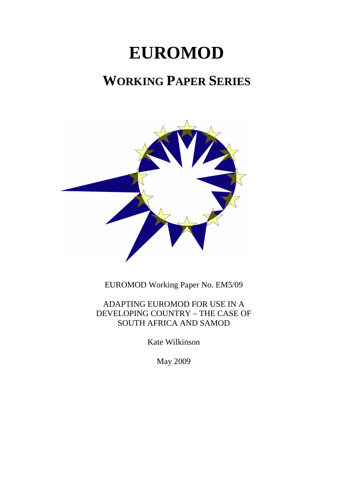# **EUROMOD**

# **WORKING PAPER SERIES**



EUROMOD Working Paper No. EM5/09

ADAPTING EUROMOD FOR USE IN A DEVELOPING COUNTRY – THE CASE OF SOUTH AFRICA AND SAMOD

Kate Wilkinson

May 2009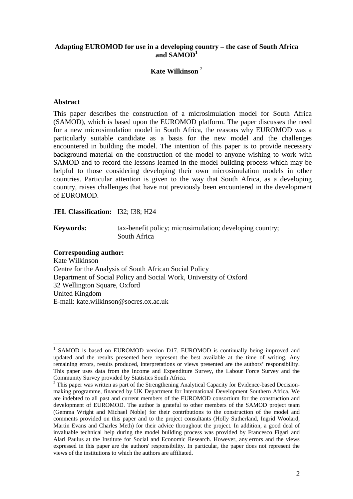#### **Adapting EUROMOD for use in a developing country – the case of South Africa and SAMOD<sup>1</sup>**

# **Kate Wilkinson** <sup>2</sup>

#### **Abstract**

This paper describes the construction of a microsimulation model for South Africa (SAMOD), which is based upon the EUROMOD platform. The paper discusses the need for a new microsimulation model in South Africa, the reasons why EUROMOD was a particularly suitable candidate as a basis for the new model and the challenges encountered in building the model. The intention of this paper is to provide necessary background material on the construction of the model to anyone wishing to work with SAMOD and to record the lessons learned in the model-building process which may be helpful to those considering developing their own microsimulation models in other countries. Particular attention is given to the way that South Africa, as a developing country, raises challenges that have not previously been encountered in the development of EUROMOD.

#### **JEL Classification:** I32; I38; H24

**Keywords:** tax-benefit policy; microsimulation; developing country; South Africa

#### **Corresponding author:**

 $\overline{a}$ 

Kate Wilkinson Centre for the Analysis of South African Social Policy Department of Social Policy and Social Work, University of Oxford 32 Wellington Square, Oxford United Kingdom E-mail: kate.wilkinson@socres.ox.ac.uk

<sup>1</sup> SAMOD is based on EUROMOD version D17. EUROMOD is continually being improved and updated and the results presented here represent the best available at the time of writing. Any remaining errors, results produced, interpretations or views presented are the authors' responsibility. This paper uses data from the Income and Expenditure Survey, the Labour Force Survey and the

Community Survey provided by Statistics South Africa.<br><sup>2</sup> This paper was written as part of the Strengthening Analytical Capacity for Evidence-based Decisionmaking programme, financed by UK Department for International Development Southern Africa. We are indebted to all past and current members of the EUROMOD consortium for the construction and development of EUROMOD. The author is grateful to other members of the SAMOD project team (Gemma Wright and Michael Noble) for their contributions to the construction of the model and comments provided on this paper and to the project consultants (Holly Sutherland, Ingrid Woolard, Martin Evans and Charles Meth) for their advice throughout the project. In addition, a good deal of invaluable technical help during the model building process was provided by Francesco Figari and Alari Paulus at the Institute for Social and Economic Research. However, any errors and the views expressed in this paper are the authors' responsibility. In particular, the paper does not represent the views of the institutions to which the authors are affiliated.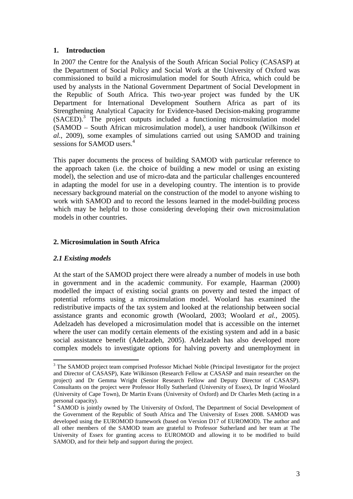# **1. Introduction**

In 2007 the Centre for the Analysis of the South African Social Policy (CASASP) at the Department of Social Policy and Social Work at the University of Oxford was commissioned to build a microsimulation model for South Africa, which could be used by analysts in the National Government Department of Social Development in the Republic of South Africa. This two-year project was funded by the UK Department for International Development Southern Africa as part of its Strengthening Analytical Capacity for Evidence-based Decision-making programme (SACED).<sup>3</sup> The project outputs included a functioning microsimulation model (SAMOD – South African microsimulation model), a user handbook (Wilkinson *et al.*, 2009), some examples of simulations carried out using SAMOD and training sessions for SAMOD users.<sup>4</sup>

This paper documents the process of building SAMOD with particular reference to the approach taken (i.e. the choice of building a new model or using an existing model), the selection and use of micro-data and the particular challenges encountered in adapting the model for use in a developing country. The intention is to provide necessary background material on the construction of the model to anyone wishing to work with SAMOD and to record the lessons learned in the model-building process which may be helpful to those considering developing their own microsimulation models in other countries.

# **2. Microsimulation in South Africa**

# *2.1 Existing models*

 $\overline{a}$ 

At the start of the SAMOD project there were already a number of models in use both in government and in the academic community. For example, Haarman (2000) modelled the impact of existing social grants on poverty and tested the impact of potential reforms using a microsimulation model. Woolard has examined the redistributive impacts of the tax system and looked at the relationship between social assistance grants and economic growth (Woolard, 2003; Woolard *et al.*, 2005). Adelzadeh has developed a microsimulation model that is accessible on the internet where the user can modify certain elements of the existing system and add in a basic social assistance benefit (Adelzadeh, 2005). Adelzadeh has also developed more complex models to investigate options for halving poverty and unemployment in

<sup>&</sup>lt;sup>3</sup> The SAMOD project team comprised Professor Michael Noble (Principal Investigator for the project and Director of CASASP), Kate Wilkinson (Research Fellow at CASASP and main researcher on the project) and Dr Gemma Wright (Senior Research Fellow and Deputy Director of CASASP). Consultants on the project were Professor Holly Sutherland (University of Essex), Dr Ingrid Woolard (University of Cape Town), Dr Martin Evans (University of Oxford) and Dr Charles Meth (acting in a personal capacity).

<sup>4</sup> SAMOD is jointly owned by The University of Oxford, The Department of Social Development of the Government of the Republic of South Africa and The University of Essex 2008. SAMOD was developed using the EUROMOD framework (based on Version D17 of EUROMOD). The author and all other members of the SAMOD team are grateful to Professor Sutherland and her team at The University of Essex for granting access to EUROMOD and allowing it to be modified to build SAMOD, and for their help and support during the project.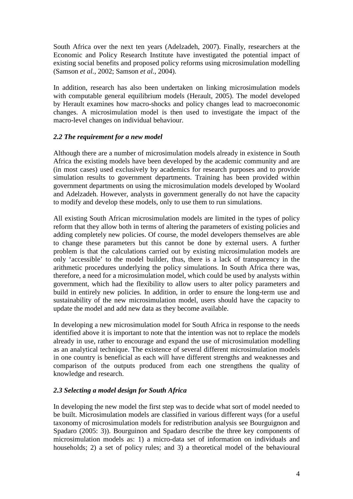South Africa over the next ten years (Adelzadeh, 2007). Finally, researchers at the Economic and Policy Research Institute have investigated the potential impact of existing social benefits and proposed policy reforms using microsimulation modelling (Samson *et al.*, 2002; Samson *et al.*, 2004).

In addition, research has also been undertaken on linking microsimulation models with computable general equilibrium models (Herault, 2005). The model developed by Herault examines how macro-shocks and policy changes lead to macroeconomic changes. A microsimulation model is then used to investigate the impact of the macro-level changes on individual behaviour.

# *2.2 The requirement for a new model*

Although there are a number of microsimulation models already in existence in South Africa the existing models have been developed by the academic community and are (in most cases) used exclusively by academics for research purposes and to provide simulation results to government departments. Training has been provided within government departments on using the microsimulation models developed by Woolard and Adelzadeh. However, analysts in government generally do not have the capacity to modify and develop these models, only to use them to run simulations.

All existing South African microsimulation models are limited in the types of policy reform that they allow both in terms of altering the parameters of existing policies and adding completely new policies. Of course, the model developers themselves are able to change these parameters but this cannot be done by external users. A further problem is that the calculations carried out by existing microsimulation models are only 'accessible' to the model builder, thus, there is a lack of transparency in the arithmetic procedures underlying the policy simulations. In South Africa there was, therefore, a need for a microsimulation model, which could be used by analysts within government, which had the flexibility to allow users to alter policy parameters and build in entirely new policies. In addition, in order to ensure the long-term use and sustainability of the new microsimulation model, users should have the capacity to update the model and add new data as they become available.

In developing a new microsimulation model for South Africa in response to the needs identified above it is important to note that the intention was not to replace the models already in use, rather to encourage and expand the use of microsimulation modelling as an analytical technique. The existence of several different microsimulation models in one country is beneficial as each will have different strengths and weaknesses and comparison of the outputs produced from each one strengthens the quality of knowledge and research.

# *2.3 Selecting a model design for South Africa*

In developing the new model the first step was to decide what sort of model needed to be built. Microsimulation models are classified in various different ways (for a useful taxonomy of microsimulation models for redistribution analysis see Bourguignon and Spadaro (2005: 3)). Bourguinon and Spadaro describe the three key components of microsimulation models as: 1) a micro-data set of information on individuals and households; 2) a set of policy rules; and 3) a theoretical model of the behavioural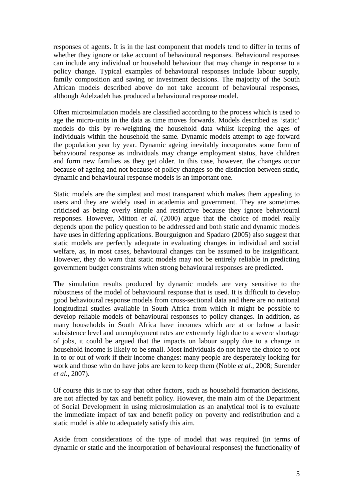responses of agents. It is in the last component that models tend to differ in terms of whether they ignore or take account of behavioural responses. Behavioural responses can include any individual or household behaviour that may change in response to a policy change. Typical examples of behavioural responses include labour supply, family composition and saving or investment decisions. The majority of the South African models described above do not take account of behavioural responses, although Adelzadeh has produced a behavioural response model.

Often microsimulation models are classified according to the process which is used to age the micro-units in the data as time moves forwards. Models described as 'static' models do this by re-weighting the household data whilst keeping the ages of individuals within the household the same. Dynamic models attempt to age forward the population year by year. Dynamic ageing inevitably incorporates some form of behavioural response as individuals may change employment status, have children and form new families as they get older. In this case, however, the changes occur because of ageing and not because of policy changes so the distinction between static, dynamic and behavioural response models is an important one.

Static models are the simplest and most transparent which makes them appealing to users and they are widely used in academia and government. They are sometimes criticised as being overly simple and restrictive because they ignore behavioural responses. However, Mitton *et al.* (2000) argue that the choice of model really depends upon the policy question to be addressed and both static and dynamic models have uses in differing applications. Bourguignon and Spadaro (2005) also suggest that static models are perfectly adequate in evaluating changes in individual and social welfare, as, in most cases, behavioural changes can be assumed to be insignificant. However, they do warn that static models may not be entirely reliable in predicting government budget constraints when strong behavioural responses are predicted.

The simulation results produced by dynamic models are very sensitive to the robustness of the model of behavioural response that is used. It is difficult to develop good behavioural response models from cross-sectional data and there are no national longitudinal studies available in South Africa from which it might be possible to develop reliable models of behavioural responses to policy changes. In addition, as many households in South Africa have incomes which are at or below a basic subsistence level and unemployment rates are extremely high due to a severe shortage of jobs, it could be argued that the impacts on labour supply due to a change in household income is likely to be small. Most individuals do not have the choice to opt in to or out of work if their income changes: many people are desperately looking for work and those who do have jobs are keen to keep them (Noble *et al.*, 2008; Surender *et al.*, 2007).

Of course this is not to say that other factors, such as household formation decisions, are not affected by tax and benefit policy. However, the main aim of the Department of Social Development in using microsimulation as an analytical tool is to evaluate the immediate impact of tax and benefit policy on poverty and redistribution and a static model is able to adequately satisfy this aim.

Aside from considerations of the type of model that was required (in terms of dynamic or static and the incorporation of behavioural responses) the functionality of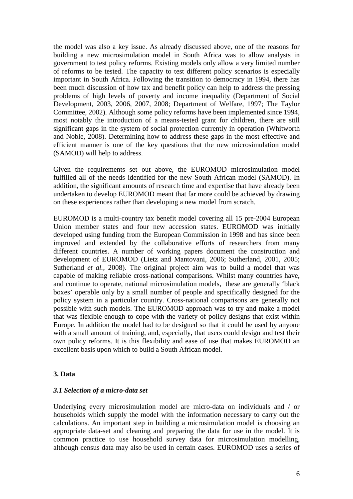the model was also a key issue. As already discussed above, one of the reasons for building a new microsimulation model in South Africa was to allow analysts in government to test policy reforms. Existing models only allow a very limited number of reforms to be tested. The capacity to test different policy scenarios is especially important in South Africa. Following the transition to democracy in 1994, there has been much discussion of how tax and benefit policy can help to address the pressing problems of high levels of poverty and income inequality (Department of Social Development, 2003, 2006, 2007, 2008; Department of Welfare, 1997; The Taylor Committee, 2002). Although some policy reforms have been implemented since 1994, most notably the introduction of a means-tested grant for children, there are still significant gaps in the system of social protection currently in operation (Whitworth and Noble, 2008). Determining how to address these gaps in the most effective and efficient manner is one of the key questions that the new microsimulation model (SAMOD) will help to address.

Given the requirements set out above, the EUROMOD microsimulation model fulfilled all of the needs identified for the new South African model (SAMOD). In addition, the significant amounts of research time and expertise that have already been undertaken to develop EUROMOD meant that far more could be achieved by drawing on these experiences rather than developing a new model from scratch.

EUROMOD is a multi-country tax benefit model covering all 15 pre-2004 European Union member states and four new accession states. EUROMOD was initially developed using funding from the European Commission in 1998 and has since been improved and extended by the collaborative efforts of researchers from many different countries. A number of working papers document the construction and development of EUROMOD (Lietz and Mantovani, 2006; Sutherland, 2001, 2005; Sutherland *et al.*, 2008). The original project aim was to build a model that was capable of making reliable cross-national comparisons. Whilst many countries have, and continue to operate, national microsimulation models, these are generally 'black boxes' operable only by a small number of people and specifically designed for the policy system in a particular country. Cross-national comparisons are generally not possible with such models. The EUROMOD approach was to try and make a model that was flexible enough to cope with the variety of policy designs that exist within Europe. In addition the model had to be designed so that it could be used by anyone with a small amount of training, and, especially, that users could design and test their own policy reforms. It is this flexibility and ease of use that makes EUROMOD an excellent basis upon which to build a South African model.

#### **3. Data**

#### *3.1 Selection of a micro-data set*

Underlying every microsimulation model are micro-data on individuals and / or households which supply the model with the information necessary to carry out the calculations. An important step in building a microsimulation model is choosing an appropriate data-set and cleaning and preparing the data for use in the model. It is common practice to use household survey data for microsimulation modelling, although census data may also be used in certain cases. EUROMOD uses a series of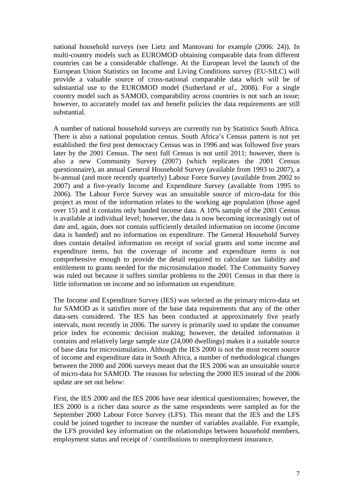national household surveys (see Lietz and Mantovani for example (2006: 24)). In multi-country models such as EUROMOD obtaining comparable data from different countries can be a considerable challenge. At the European level the launch of the European Union Statistics on Income and Living Conditions survey (EU-SILC) will provide a valuable source of cross-national comparable data which will be of substantial use to the EUROMOD model (Sutherland *et al.*, 2008). For a single country model such as SAMOD, comparability across countries is not such an issue; however, to accurately model tax and benefit policies the data requirements are still substantial.

A number of national household surveys are currently run by Statistics South Africa. There is also a national population census. South Africa's Census pattern is not yet established: the first post democracy Census was in 1996 and was followed five years later by the 2001 Census. The next full Census is not until 2011; however, there is also a new Community Survey (2007) (which replicates the 2001 Census questionnaire), an annual General Household Survey (available from 1993 to 2007), a bi-annual (and more recently quarterly) Labour Force Survey (available from 2002 to 2007) and a five-yearly Income and Expenditure Survey (available from 1995 to 2006). The Labour Force Survey was an unsuitable source of micro-data for this project as most of the information relates to the working age population (those aged over 15) and it contains only banded income data. A 10% sample of the 2001 Census is available at individual level; however, the data is now becoming increasingly out of date and, again, does not contain sufficiently detailed information on income (income data is banded) and no information on expenditure. The General Household Survey does contain detailed information on receipt of social grants and some income and expenditure items, but the coverage of income and expenditure items is not comprehensive enough to provide the detail required to calculate tax liability and entitlement to grants needed for the microsimulation model. The Community Survey was ruled out because it suffers similar problems to the 2001 Census in that there is little information on income and no information on expenditure.

The Income and Expenditure Survey (IES) was selected as the primary micro-data set for SAMOD as it satisfies more of the base data requirements that any of the other data-sets considered. The IES has been conducted at approximately five yearly intervals, most recently in 2006. The survey is primarily used to update the consumer price index for economic decision making; however, the detailed information it contains and relatively large sample size (24,000 dwellings) makes it a suitable source of base data for microsimulation. Although the IES 2000 is not the most recent source of income and expenditure data in South Africa, a number of methodological changes between the 2000 and 2006 surveys meant that the IES 2006 was an unsuitable source of micro-data for SAMOD. The reasons for selecting the 2000 IES instead of the 2006 update are set out below:

First, the IES 2000 and the IES 2006 have near identical questionnaires; however, the IES 2000 is a richer data source as the same respondents were sampled as for the September 2000 Labour Force Survey (LFS). This meant that the IES and the LFS could be joined together to increase the number of variables available. For example, the LFS provided key information on the relationships between household members, employment status and receipt of / contributions to unemployment insurance.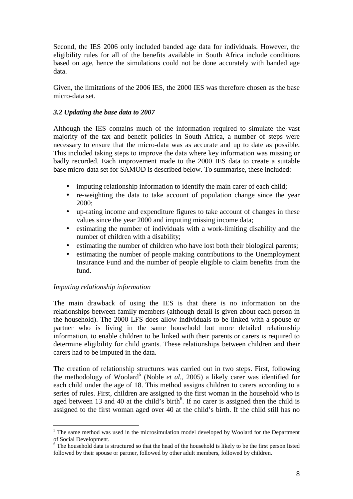Second, the IES 2006 only included banded age data for individuals. However, the eligibility rules for all of the benefits available in South Africa include conditions based on age, hence the simulations could not be done accurately with banded age data.

Given, the limitations of the 2006 IES, the 2000 IES was therefore chosen as the base micro-data set.

# *3.2 Updating the base data to 2007*

Although the IES contains much of the information required to simulate the vast majority of the tax and benefit policies in South Africa, a number of steps were necessary to ensure that the micro-data was as accurate and up to date as possible. This included taking steps to improve the data where key information was missing or badly recorded. Each improvement made to the 2000 IES data to create a suitable base micro-data set for SAMOD is described below. To summarise, these included:

- imputing relationship information to identify the main carer of each child;
- re-weighting the data to take account of population change since the year 2000;
- up-rating income and expenditure figures to take account of changes in these values since the year 2000 and imputing missing income data;
- estimating the number of individuals with a work-limiting disability and the number of children with a disability;
- estimating the number of children who have lost both their biological parents;
- estimating the number of people making contributions to the Unemployment Insurance Fund and the number of people eligible to claim benefits from the fund.

# *Imputing relationship information*

 $\overline{a}$ 

The main drawback of using the IES is that there is no information on the relationships between family members (although detail is given about each person in the household). The 2000 LFS does allow individuals to be linked with a spouse or partner who is living in the same household but more detailed relationship information, to enable children to be linked with their parents or carers is required to determine eligibility for child grants. These relationships between children and their carers had to be imputed in the data.

The creation of relationship structures was carried out in two steps. First, following the methodology of Woolard<sup>5</sup> (Noble *et al.*, 2005) a likely carer was identified for each child under the age of 18. This method assigns children to carers according to a series of rules. First, children are assigned to the first woman in the household who is aged between 13 and 40 at the child's birth $6$ . If no carer is assigned then the child is assigned to the first woman aged over 40 at the child's birth. If the child still has no

<sup>&</sup>lt;sup>5</sup> The same method was used in the microsimulation model developed by Woolard for the Department of Social Development.

<sup>&</sup>lt;sup>6</sup> The household data is structured so that the head of the household is likely to be the first person listed followed by their spouse or partner, followed by other adult members, followed by children.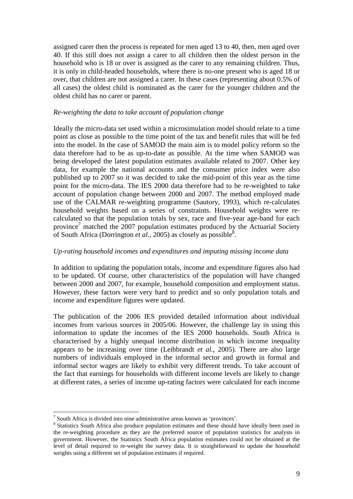assigned carer then the process is repeated for men aged 13 to 40, then, men aged over 40. If this still does not assign a carer to all children then the oldest person in the household who is 18 or over is assigned as the carer to any remaining children. Thus, it is only in child-headed households, where there is no-one present who is aged 18 or over, that children are not assigned a carer. In these cases (representing about 0.5% of all cases) the oldest child is nominated as the carer for the younger children and the oldest child has no carer or parent.

#### *Re-weighting the data to take account of population change*

Ideally the micro-data set used within a microsimulation model should relate to a time point as close as possible to the time point of the tax and benefit rules that will be fed into the model. In the case of SAMOD the main aim is to model policy reform so the data therefore had to be as up-to-date as possible. At the time when SAMOD was being developed the latest population estimates available related to 2007. Other key data, for example the national accounts and the consumer price index were also published up to 2007 so it was decided to take the mid-point of this year as the time point for the micro-data. The IES 2000 data therefore had to be re-weighted to take account of population change between 2000 and 2007. The method employed made use of the CALMAR re-weighting programme (Sautory, 1993), which re-calculates household weights based on a series of constraints. Household weights were recalculated so that the population totals by sex, race and five-year age-band for each province<sup>7</sup> matched the  $2007$  population estimates produced by the Actuarial Society of South Africa (Dorrington *et al.*, 2005) as closely as possible<sup>8</sup>.

#### *Up-rating household incomes and expenditures and imputing missing income data*

In addition to updating the population totals, income and expenditure figures also had to be updated. Of course, other characteristics of the population will have changed between 2000 and 2007, for example, household composition and employment status. However, these factors were very hard to predict and so only population totals and income and expenditure figures were updated.

The publication of the 2006 IES provided detailed information about individual incomes from various sources in 2005/06. However, the challenge lay in using this information to update the incomes of the IES 2000 households. South Africa is characterised by a highly unequal income distribution in which income inequality appears to be increasing over time (Leibbrandt *et al.*, 2005). There are also large numbers of individuals employed in the informal sector and growth in formal and informal sector wages are likely to exhibit very different trends. To take account of the fact that earnings for households with different income levels are likely to change at different rates, a series of income up-rating factors were calculated for each income

 $\overline{a}$ 

<sup>&</sup>lt;sup>7</sup> South Africa is divided into nine administrative areas known as 'provinces'.

<sup>&</sup>lt;sup>8</sup> Statistics South Africa also produce population estimates and these should have ideally been used in the re-weighting procedure as they are the preferred source of population statistics for analysts in government. However, the Statistics South Africa population estimates could not be obtained at the level of detail required to re-weight the survey data. It is straightforward to update the household weights using a different set of population estimates if required.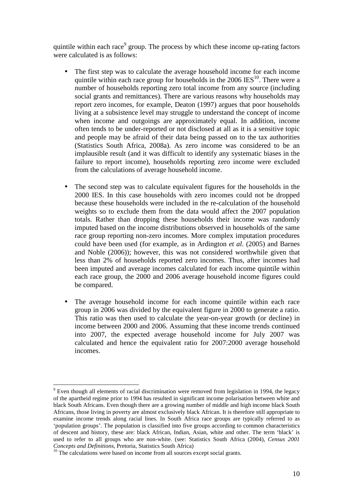quintile within each race<sup>9</sup> group. The process by which these income up-rating factors were calculated is as follows:

- The first step was to calculate the average household income for each income quintile within each race group for households in the  $2006$  IES<sup>10</sup>. There were a number of households reporting zero total income from any source (including social grants and remittances). There are various reasons why households may report zero incomes, for example, Deaton (1997) argues that poor households living at a subsistence level may struggle to understand the concept of income when income and outgoings are approximately equal. In addition, income often tends to be under-reported or not disclosed at all as it is a sensitive topic and people may be afraid of their data being passed on to the tax authorities (Statistics South Africa, 2008a). As zero income was considered to be an implausible result (and it was difficult to identify any systematic biases in the failure to report income), households reporting zero income were excluded from the calculations of average household income.
- The second step was to calculate equivalent figures for the households in the 2000 IES. In this case households with zero incomes could not be dropped because these households were included in the re-calculation of the household weights so to exclude them from the data would affect the 2007 population totals. Rather than dropping these households their income was randomly imputed based on the income distributions observed in households of the same race group reporting non-zero incomes. More complex imputation procedures could have been used (for example, as in Ardington *et al*. (2005) and Barnes and Noble (2006)); however, this was not considered worthwhile given that less than 2% of households reported zero incomes. Thus, after incomes had been imputed and average incomes calculated for each income quintile within each race group, the 2000 and 2006 average household income figures could be compared.
- The average household income for each income quintile within each race group in 2006 was divided by the equivalent figure in 2000 to generate a ratio. This ratio was then used to calculate the year-on-year growth (or decline) in income between 2000 and 2006. Assuming that these income trends continued into 2007, the expected average household income for July 2007 was calculated and hence the equivalent ratio for 2007:2000 average household incomes.

 $\overline{a}$  $9$  Even though all elements of racial discrimination were removed from legislation in 1994, the legacy of the apartheid regime prior to 1994 has resulted in significant income polarisation between white and black South Africans. Even though there are a growing number of middle and high income black South Africans, those living in poverty are almost exclusively black African. It is therefore still appropriate to examine income trends along racial lines. In South Africa race groups are typically referred to as 'population groups'. The population is classified into five groups according to common characteristics of descent and history, these are: black African, Indian, Asian, white and other. The term 'black' is used to refer to all groups who are non-white. (see: Statistics South Africa (2004), *Census 2001 Concepts and Definitions*, Pretoria, Statistics South Africa)

<sup>&</sup>lt;sup>10</sup> The calculations were based on income from all sources except social grants.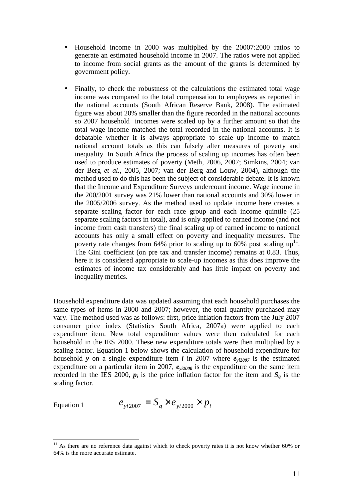- Household income in 2000 was multiplied by the 20007:2000 ratios to generate an estimated household income in 2007. The ratios were not applied to income from social grants as the amount of the grants is determined by government policy.
- Finally, to check the robustness of the calculations the estimated total wage income was compared to the total compensation to employees as reported in the national accounts (South African Reserve Bank, 2008). The estimated figure was about 20% smaller than the figure recorded in the national accounts so 2007 household incomes were scaled up by a further amount so that the total wage income matched the total recorded in the national accounts. It is debatable whether it is always appropriate to scale up income to match national account totals as this can falsely alter measures of poverty and inequality. In South Africa the process of scaling up incomes has often been used to produce estimates of poverty (Meth, 2006, 2007; Simkins, 2004; van der Berg *et al.*, 2005, 2007; van der Berg and Louw, 2004), although the method used to do this has been the subject of considerable debate. It is known that the Income and Expenditure Surveys undercount income. Wage income in the 200/2001 survey was 21% lower than national accounts and 30% lower in the 2005/2006 survey. As the method used to update income here creates a separate scaling factor for each race group and each income quintile (25 separate scaling factors in total), and is only applied to earned income (and not income from cash transfers) the final scaling up of earned income to national accounts has only a small effect on poverty and inequality measures. The poverty rate changes from 64% prior to scaling up to 60% post scaling  $up<sup>11</sup>$ . The Gini coefficient (on pre tax and transfer income) remains at 0.83. Thus, here it is considered appropriate to scale-up incomes as this does improve the estimates of income tax considerably and has little impact on poverty and inequality metrics.

Household expenditure data was updated assuming that each household purchases the same types of items in 2000 and 2007; however, the total quantity purchased may vary. The method used was as follows: first, price inflation factors from the July 2007 consumer price index (Statistics South Africa, 2007a) were applied to each expenditure item. New total expenditure values were then calculated for each household in the IES 2000. These new expenditure totals were then multiplied by a scaling factor. Equation 1 below shows the calculation of household expenditure for household *y* on a single expenditure item *i* in 2007 where  $e_{\text{vi2007}}$  is the estimated expenditure on a particular item in 2007, *eyi2000* is the expenditure on the same item recorded in the IES 2000,  $p_i$  is the price inflation factor for the item and  $S_q$  is the scaling factor.

Equation 1 
$$
e_{yi2007} = S_q \times e_{yi2000} \times p_i
$$

 $\overline{a}$ 

 $11$  As there are no reference data against which to check poverty rates it is not know whether 60% or 64% is the more accurate estimate.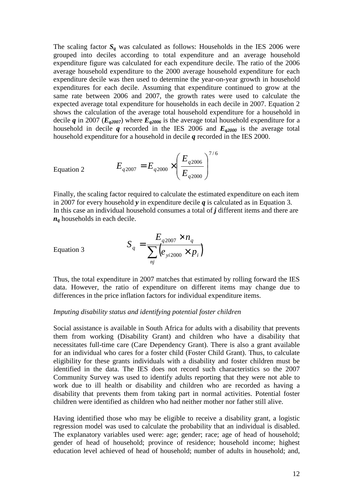The scaling factor  $S_q$  was calculated as follows: Households in the IES 2006 were grouped into deciles according to total expenditure and an average household expenditure figure was calculated for each expenditure decile. The ratio of the 2006 average household expenditure to the 2000 average household expenditure for each expenditure decile was then used to determine the year-on-year growth in household expenditures for each decile. Assuming that expenditure continued to grow at the same rate between 2006 and 2007, the growth rates were used to calculate the expected average total expenditure for households in each decile in 2007. Equation 2 shows the calculation of the average total household expenditure for a household in decile *q* in 2007 ( $E_{q2007}$ ) where  $E_{q2006}$  is the average total household expenditure for a household in decile  $q$  recorded in the IES 2006 and  $E_{q2000}$  is the average total household expenditure for a household in decile *q* recorded in the IES 2000.

Equation 2 
$$
E_{q2007} = E_{q2000} \times \left(\frac{E_{q2006}}{E_{q2000}}\right)^{7/6}
$$

Finally, the scaling factor required to calculate the estimated expenditure on each item in 2007 for every household *y* in expenditure decile *q* is calculated as in Equation 3. In this case an individual household consumes a total of *j* different items and there are *n<sup>q</sup>* households in each decile.

Equation 3 
$$
S_q = \frac{E_{q2007} \times n_q}{\sum_{nj} (e_{yi2000} \times p_i)}
$$

Thus, the total expenditure in 2007 matches that estimated by rolling forward the IES data. However, the ratio of expenditure on different items may change due to differences in the price inflation factors for individual expenditure items.

#### *Imputing disability status and identifying potential foster children*

Social assistance is available in South Africa for adults with a disability that prevents them from working (Disability Grant) and children who have a disability that necessitates full-time care (Care Dependency Grant). There is also a grant available for an individual who cares for a foster child (Foster Child Grant). Thus, to calculate eligibility for these grants individuals with a disability and foster children must be identified in the data. The IES does not record such characteristics so the 2007 Community Survey was used to identify adults reporting that they were not able to work due to ill health or disability and children who are recorded as having a disability that prevents them from taking part in normal activities. Potential foster children were identified as children who had neither mother nor father still alive.

Having identified those who may be eligible to receive a disability grant, a logistic regression model was used to calculate the probability that an individual is disabled. The explanatory variables used were: age; gender; race; age of head of household; gender of head of household; province of residence; household income; highest education level achieved of head of household; number of adults in household; and,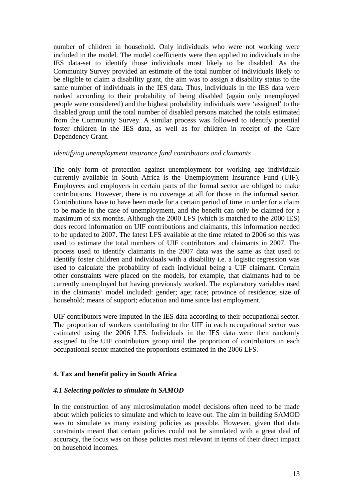number of children in household. Only individuals who were not working were included in the model. The model coefficients were then applied to individuals in the IES data-set to identify those individuals most likely to be disabled. As the Community Survey provided an estimate of the total number of individuals likely to be eligible to claim a disability grant, the aim was to assign a disability status to the same number of individuals in the IES data. Thus, individuals in the IES data were ranked according to their probability of being disabled (again only unemployed people were considered) and the highest probability individuals were 'assigned' to the disabled group until the total number of disabled persons matched the totals estimated from the Community Survey. A similar process was followed to identify potential foster children in the IES data, as well as for children in receipt of the Care Dependency Grant.

#### *Identifying unemployment insurance fund contributors and claimants*

The only form of protection against unemployment for working age individuals currently available in South Africa is the Unemployment Insurance Fund (UIF). Employees and employers in certain parts of the formal sector are obliged to make contributions. However, there is no coverage at all for those in the informal sector. Contributions have to have been made for a certain period of time in order for a claim to be made in the case of unemployment, and the benefit can only be claimed for a maximum of six months. Although the 2000 LFS (which is matched to the 2000 IES) does record information on UIF contributions and claimants, this information needed to be updated to 2007. The latest LFS available at the time related to 2006 so this was used to estimate the total numbers of UIF contributors and claimants in 2007. The process used to identify claimants in the 2007 data was the same as that used to identify foster children and individuals with a disability i.e. a logistic regression was used to calculate the probability of each individual being a UIF claimant. Certain other constraints were placed on the models, for example, that claimants had to be currently unemployed but having previously worked. The explanatory variables used in the claimants' model included: gender; age; race; province of residence; size of household; means of support; education and time since last employment.

UIF contributors were imputed in the IES data according to their occupational sector. The proportion of workers contributing to the UIF in each occupational sector was estimated using the 2006 LFS. Individuals in the IES data were then randomly assigned to the UIF contributors group until the proportion of contributors in each occupational sector matched the proportions estimated in the 2006 LFS.

#### **4. Tax and benefit policy in South Africa**

#### *4.1 Selecting policies to simulate in SAMOD*

In the construction of any microsimulation model decisions often need to be made about which policies to simulate and which to leave out. The aim in building SAMOD was to simulate as many existing policies as possible. However, given that data constraints meant that certain policies could not be simulated with a great deal of accuracy, the focus was on those policies most relevant in terms of their direct impact on household incomes.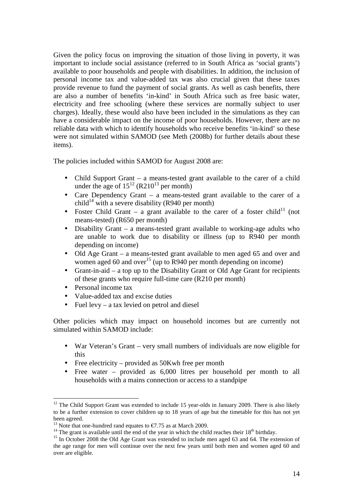Given the policy focus on improving the situation of those living in poverty, it was important to include social assistance (referred to in South Africa as 'social grants') available to poor households and people with disabilities. In addition, the inclusion of personal income tax and value-added tax was also crucial given that these taxes provide revenue to fund the payment of social grants. As well as cash benefits, there are also a number of benefits 'in-kind' in South Africa such as free basic water, electricity and free schooling (where these services are normally subject to user charges). Ideally, these would also have been included in the simulations as they can have a considerable impact on the income of poor households. However, there are no reliable data with which to identify households who receive benefits 'in-kind' so these were not simulated within SAMOD (see Meth (2008b) for further details about these items).

The policies included within SAMOD for August 2008 are:

- Child Support Grant a means-tested grant available to the carer of a child under the age of  $15^{12}$  (R210<sup>13</sup> per month)
- Care Dependency Grant a means-tested grant available to the carer of a child<sup>14</sup> with a severe disability (R940 per month)
- Foster Child Grant a grant available to the carer of a foster child<sup>11</sup> (not means-tested) (R650 per month)
- Disability Grant a means-tested grant available to working-age adults who are unable to work due to disability or illness (up to R940 per month depending on income)
- Old Age Grant a means-tested grant available to men aged 65 and over and women aged 60 and over<sup>15</sup> (up to R940 per month depending on income)
- Grant-in-aid a top up to the Disability Grant or Old Age Grant for recipients of these grants who require full-time care (R210 per month)
- Personal income tax
- Value-added tax and excise duties
- Fuel levy a tax levied on petrol and diesel

Other policies which may impact on household incomes but are currently not simulated within SAMOD include:

- War Veteran's Grant very small numbers of individuals are now eligible for this
- Free electricity provided as 50Kwh free per month
- Free water provided as 6,000 litres per household per month to all households with a mains connection or access to a standpipe

 $\overline{a}$  $12$  The Child Support Grant was extended to include 15 year-olds in January 2009. There is also likely to be a further extension to cover children up to 18 years of age but the timetable for this has not yet been agreed.

<sup>&</sup>lt;sup>13</sup> Note that one-hundred rand equates to  $\epsilon$ 7.75 as at March 2009.

<sup>&</sup>lt;sup>14</sup> The grant is available until the end of the year in which the child reaches their  $18^{th}$  birthday.

<sup>&</sup>lt;sup>15</sup> In October 2008 the Old Age Grant was extended to include men aged 63 and 64. The extension of the age range for men will continue over the next few years until both men and women aged 60 and over are eligible.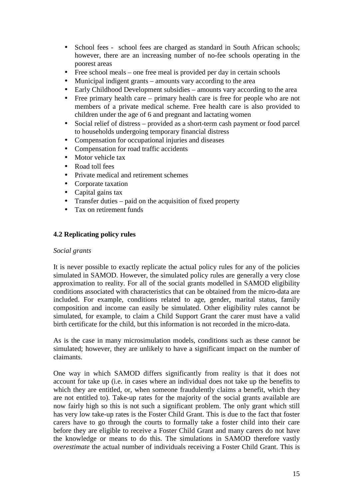- School fees school fees are charged as standard in South African schools; however, there are an increasing number of no-fee schools operating in the poorest areas
- Free school meals one free meal is provided per day in certain schools
- Municipal indigent grants amounts vary according to the area
- Early Childhood Development subsidies amounts vary according to the area
- Free primary health care primary health care is free for people who are not members of a private medical scheme. Free health care is also provided to children under the age of 6 and pregnant and lactating women
- Social relief of distress provided as a short-term cash payment or food parcel to households undergoing temporary financial distress
- Compensation for occupational injuries and diseases
- Compensation for road traffic accidents
- Motor vehicle tax
- Road toll fees
- Private medical and retirement schemes
- Corporate taxation
- Capital gains tax
- Transfer duties paid on the acquisition of fixed property
- Tax on retirement funds

# **4.2 Replicating policy rules**

#### *Social grants*

It is never possible to exactly replicate the actual policy rules for any of the policies simulated in SAMOD. However, the simulated policy rules are generally a very close approximation to reality. For all of the social grants modelled in SAMOD eligibility conditions associated with characteristics that can be obtained from the micro-data are included. For example, conditions related to age, gender, marital status, family composition and income can easily be simulated. Other eligibility rules cannot be simulated, for example, to claim a Child Support Grant the carer must have a valid birth certificate for the child, but this information is not recorded in the micro-data.

As is the case in many microsimulation models, conditions such as these cannot be simulated; however, they are unlikely to have a significant impact on the number of claimants.

One way in which SAMOD differs significantly from reality is that it does not account for take up (i.e. in cases where an individual does not take up the benefits to which they are entitled, or, when someone fraudulently claims a benefit, which they are not entitled to). Take-up rates for the majority of the social grants available are now fairly high so this is not such a significant problem. The only grant which still has very low take-up rates is the Foster Child Grant. This is due to the fact that foster carers have to go through the courts to formally take a foster child into their care before they are eligible to receive a Foster Child Grant and many carers do not have the knowledge or means to do this. The simulations in SAMOD therefore vastly *overestimate* the actual number of individuals receiving a Foster Child Grant. This is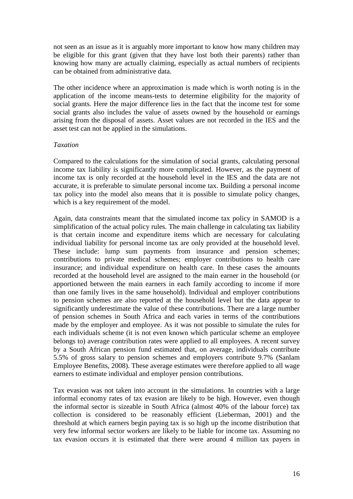not seen as an issue as it is arguably more important to know how many children may be eligible for this grant (given that they have lost both their parents) rather than knowing how many are actually claiming, especially as actual numbers of recipients can be obtained from administrative data.

The other incidence where an approximation is made which is worth noting is in the application of the income means-tests to determine eligibility for the majority of social grants. Here the major difference lies in the fact that the income test for some social grants also includes the value of assets owned by the household or earnings arising from the disposal of assets. Asset values are not recorded in the IES and the asset test can not be applied in the simulations.

#### *Taxation*

Compared to the calculations for the simulation of social grants, calculating personal income tax liability is significantly more complicated. However, as the payment of income tax is only recorded at the household level in the IES and the data are not accurate, it is preferable to simulate personal income tax. Building a personal income tax policy into the model also means that it is possible to simulate policy changes, which is a key requirement of the model.

Again, data constraints meant that the simulated income tax policy in SAMOD is a simplification of the actual policy rules. The main challenge in calculating tax liability is that certain income and expenditure items which are necessary for calculating individual liability for personal income tax are only provided at the household level. These include: lump sum payments from insurance and pension schemes; contributions to private medical schemes; employer contributions to health care insurance; and individual expenditure on health care. In these cases the amounts recorded at the household level are assigned to the main earner in the household (or apportioned between the main earners in each family according to income if more than one family lives in the same household). Individual and employer contributions to pension schemes are also reported at the household level but the data appear to significantly underestimate the value of these contributions. There are a large number of pension schemes in South Africa and each varies in terms of the contributions made by the employer and employee. As it was not possible to simulate the rules for each individuals scheme (it is not even known which particular scheme an employee belongs to) average contribution rates were applied to all employees. A recent survey by a South African pension fund estimated that, on average, individuals contribute 5.5% of gross salary to pension schemes and employers contribute 9.7% (Sanlam Employee Benefits, 2008). These average estimates were therefore applied to all wage earners to estimate individual and employer pension contributions.

Tax evasion was not taken into account in the simulations. In countries with a large informal economy rates of tax evasion are likely to be high. However, even though the informal sector is sizeable in South Africa (almost 40% of the labour force) tax collection is considered to be reasonably efficient (Lieberman, 2001) and the threshold at which earners begin paying tax is so high up the income distribution that very few informal sector workers are likely to be liable for income tax. Assuming no tax evasion occurs it is estimated that there were around 4 million tax payers in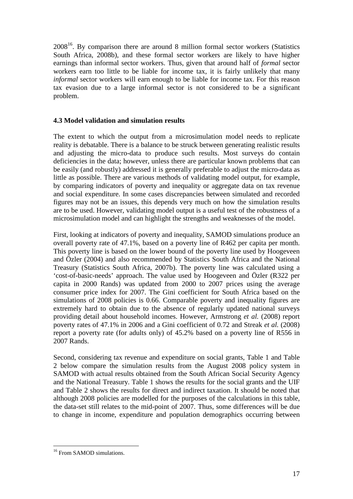$2008^{16}$ . By comparison there are around 8 million formal sector workers (Statistics South Africa, 2008b), and these formal sector workers are likely to have higher earnings than informal sector workers. Thus, given that around half of *formal* sector workers earn too little to be liable for income tax, it is fairly unlikely that many *informal* sector workers will earn enough to be liable for income tax. For this reason tax evasion due to a large informal sector is not considered to be a significant problem.

# **4.3 Model validation and simulation results**

The extent to which the output from a microsimulation model needs to replicate reality is debatable. There is a balance to be struck between generating realistic results and adjusting the micro-data to produce such results. Most surveys do contain deficiencies in the data; however, unless there are particular known problems that can be easily (and robustly) addressed it is generally preferable to adjust the micro-data as little as possible. There are various methods of validating model output, for example, by comparing indicators of poverty and inequality or aggregate data on tax revenue and social expenditure. In some cases discrepancies between simulated and recorded figures may not be an issues, this depends very much on how the simulation results are to be used. However, validating model output is a useful test of the robustness of a microsimulation model and can highlight the strengths and weaknesses of the model.

First, looking at indicators of poverty and inequality, SAMOD simulations produce an overall poverty rate of 47.1%, based on a poverty line of R462 per capita per month. This poverty line is based on the lower bound of the poverty line used by Hoogeveen and Özler (2004) and also recommended by Statistics South Africa and the National Treasury (Statistics South Africa, 2007b). The poverty line was calculated using a 'cost-of-basic-needs' approach. The value used by Hoogeveen and Özler (R322 per capita in 2000 Rands) was updated from 2000 to 2007 prices using the average consumer price index for 2007. The Gini coefficient for South Africa based on the simulations of 2008 policies is 0.66. Comparable poverty and inequality figures are extremely hard to obtain due to the absence of regularly updated national surveys providing detail about household incomes. However, Armstrong *et al.* (2008) report poverty rates of 47.1% in 2006 and a Gini coefficient of 0.72 and Streak *et al.* (2008) report a poverty rate (for adults only) of 45.2% based on a poverty line of R556 in 2007 Rands.

Second, considering tax revenue and expenditure on social grants, Table 1 and Table 2 below compare the simulation results from the August 2008 policy system in SAMOD with actual results obtained from the South African Social Security Agency and the National Treasury. Table 1 shows the results for the social grants and the UIF and Table 2 shows the results for direct and indirect taxation. It should be noted that although 2008 policies are modelled for the purposes of the calculations in this table, the data-set still relates to the mid-point of 2007. Thus, some differences will be due to change in income, expenditure and population demographics occurring between

 $\overline{a}$ <sup>16</sup> From SAMOD simulations.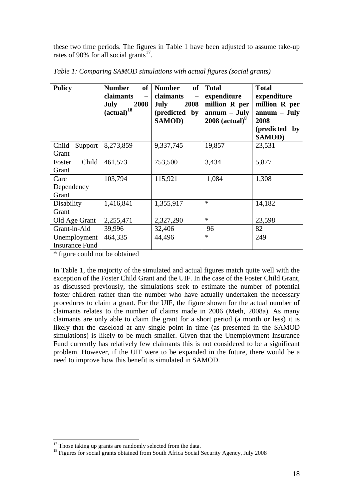these two time periods. The figures in Table 1 have been adjusted to assume take-up rates of 90% for all social grants $17$ .

| <b>Policy</b>                         | of<br><b>Number</b><br>claimants<br>$\overline{\phantom{0}}$<br><b>July</b><br>2008<br>$(actual)^{18}$ | <b>Number</b><br>of<br>claimants<br>$\overline{\phantom{m}}$<br>2008<br><b>July</b><br>(predicted<br>$\mathbf{by}$<br><b>SAMOD)</b> | <b>Total</b><br>expenditure<br>million R per<br>$annum - July$<br>$2008$ (actual) <sup>8</sup> | <b>Total</b><br>expenditure<br>million R per<br>$annum - July$<br>2008<br>(predicted<br>by<br><b>SAMOD)</b> |
|---------------------------------------|--------------------------------------------------------------------------------------------------------|-------------------------------------------------------------------------------------------------------------------------------------|------------------------------------------------------------------------------------------------|-------------------------------------------------------------------------------------------------------------|
| Child<br>Support                      | 8,273,859                                                                                              | 9,337,745                                                                                                                           | 19,857                                                                                         | 23,531                                                                                                      |
| Grant<br>Child<br>Foster<br>Grant     | 461,573                                                                                                | 753,500                                                                                                                             | 3,434                                                                                          | 5,877                                                                                                       |
| Care<br>Dependency<br>Grant           | 103,794                                                                                                | 115,921                                                                                                                             | 1,084                                                                                          | 1,308                                                                                                       |
| Disability<br>Grant                   | 1,416,841                                                                                              | 1,355,917                                                                                                                           | $\ast$                                                                                         | 14,182                                                                                                      |
| Old Age Grant                         | 2,255,471                                                                                              | 2,327,290                                                                                                                           | $\ast$                                                                                         | 23,598                                                                                                      |
| Grant-in-Aid                          | 39,996                                                                                                 | 32,406                                                                                                                              | 96                                                                                             | 82                                                                                                          |
| Unemployment<br><b>Insurance Fund</b> | 464,335                                                                                                | 44,496                                                                                                                              | $\ast$                                                                                         | 249                                                                                                         |

*Table 1: Comparing SAMOD simulations with actual figures (social grants)* 

\* figure could not be obtained

In Table 1, the majority of the simulated and actual figures match quite well with the exception of the Foster Child Grant and the UIF. In the case of the Foster Child Grant, as discussed previously, the simulations seek to estimate the number of potential foster children rather than the number who have actually undertaken the necessary procedures to claim a grant. For the UIF, the figure shown for the actual number of claimants relates to the number of claims made in 2006 (Meth, 2008a). As many claimants are only able to claim the grant for a short period (a month or less) it is likely that the caseload at any single point in time (as presented in the SAMOD simulations) is likely to be much smaller. Given that the Unemployment Insurance Fund currently has relatively few claimants this is not considered to be a significant problem. However, if the UIF were to be expanded in the future, there would be a need to improve how this benefit is simulated in SAMOD.

 $\overline{a}$  $17$  Those taking up grants are randomly selected from the data.

<sup>&</sup>lt;sup>18</sup> Figures for social grants obtained from South Africa Social Security Agency, July 2008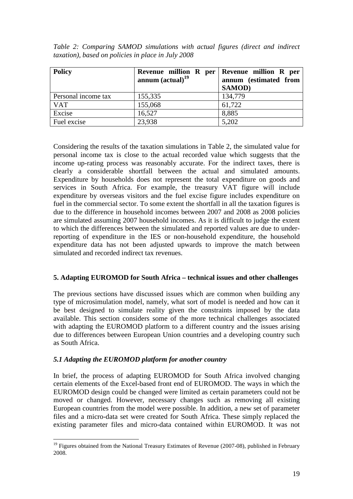| <b>Policy</b>       | Revenue million R per   Revenue million R per<br>annum $(actual)^{19}$ | annum (estimated from<br><b>SAMOD</b> ) |
|---------------------|------------------------------------------------------------------------|-----------------------------------------|
| Personal income tax | 155,335                                                                | 134,779                                 |
| <b>VAT</b>          | 155,068                                                                | 61,722                                  |
| Excise              | 16,527                                                                 | 8,885                                   |
| Fuel excise         | 23,938                                                                 | 5,202                                   |

*Table 2: Comparing SAMOD simulations with actual figures (direct and indirect taxation), based on policies in place in July 2008* 

Considering the results of the taxation simulations in Table 2, the simulated value for personal income tax is close to the actual recorded value which suggests that the income up-rating process was reasonably accurate. For the indirect taxes, there is clearly a considerable shortfall between the actual and simulated amounts. Expenditure by households does not represent the total expenditure on goods and services in South Africa. For example, the treasury VAT figure will include expenditure by overseas visitors and the fuel excise figure includes expenditure on fuel in the commercial sector. To some extent the shortfall in all the taxation figures is due to the difference in household incomes between 2007 and 2008 as 2008 policies are simulated assuming 2007 household incomes. As it is difficult to judge the extent to which the differences between the simulated and reported values are due to underreporting of expenditure in the IES or non-household expenditure, the household expenditure data has not been adjusted upwards to improve the match between simulated and recorded indirect tax revenues.

# **5. Adapting EUROMOD for South Africa – technical issues and other challenges**

The previous sections have discussed issues which are common when building any type of microsimulation model, namely, what sort of model is needed and how can it be best designed to simulate reality given the constraints imposed by the data available. This section considers some of the more technical challenges associated with adapting the EUROMOD platform to a different country and the issues arising due to differences between European Union countries and a developing country such as South Africa.

# *5.1 Adapting the EUROMOD platform for another country*

 $\overline{a}$ 

In brief, the process of adapting EUROMOD for South Africa involved changing certain elements of the Excel-based front end of EUROMOD. The ways in which the EUROMOD design could be changed were limited as certain parameters could not be moved or changed. However, necessary changes such as removing all existing European countries from the model were possible. In addition, a new set of parameter files and a micro-data set were created for South Africa. These simply replaced the existing parameter files and micro-data contained within EUROMOD. It was not

<sup>&</sup>lt;sup>19</sup> Figures obtained from the National Treasury Estimates of Revenue (2007-08), published in February 2008.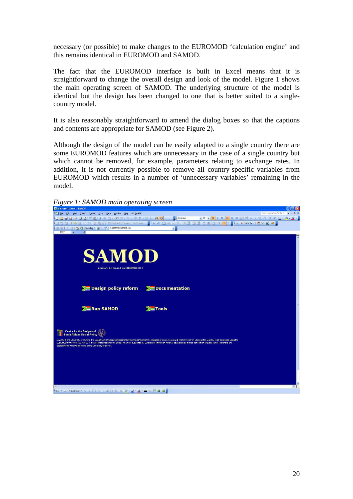necessary (or possible) to make changes to the EUROMOD 'calculation engine' and this remains identical in EUROMOD and SAMOD.

The fact that the EUROMOD interface is built in Excel means that it is straightforward to change the overall design and look of the model. Figure 1 shows the main operating screen of SAMOD. The underlying structure of the model is identical but the design has been changed to one that is better suited to a singlecountry model.

It is also reasonably straightforward to amend the dialog boxes so that the captions and contents are appropriate for SAMOD (see Figure 2).

Although the design of the model can be easily adapted to a single country there are some EUROMOD features which are unnecessary in the case of a single country but which cannot be removed, for example, parameters relating to exchange rates. In addition, it is not currently possible to remove all country-specific variables from EUROMOD which results in a number of 'unnecessary variables' remaining in the model.

*Figure 1: SAMOD main operating screen* 

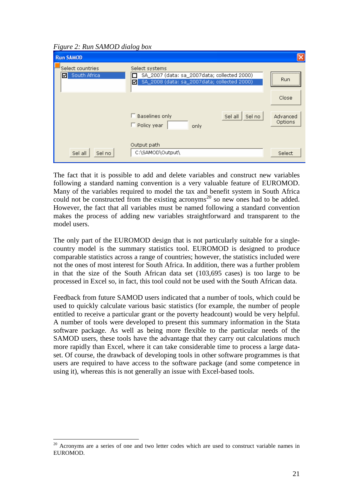*Figure 2: Run SAMOD dialog box* 

| Ō.<br><b>Run SAMOD</b>                | $\cup$                                                                                                            |                     |
|---------------------------------------|-------------------------------------------------------------------------------------------------------------------|---------------------|
| Select countries<br>South Africa<br>罓 | Select systems<br>SA 2007 (data: sa 2007data; collected 2000)<br>SA_2008 (data: sa_2007data; collected 2000)<br>⊡ | <br>Run<br>         |
|                                       |                                                                                                                   | Close               |
|                                       | $\Box$ Baselines only<br>Sel no<br>Sel all<br>$\Box$ Policy year<br>only                                          | Advanced<br>Options |
| Sel no<br>Sel all                     | Output path<br>C:\SAMOD\Output\                                                                                   | Select              |

The fact that it is possible to add and delete variables and construct new variables following a standard naming convention is a very valuable feature of EUROMOD. Many of the variables required to model the tax and benefit system in South Africa could not be constructed from the existing acronyms<sup>20</sup> so new ones had to be added. However, the fact that all variables must be named following a standard convention makes the process of adding new variables straightforward and transparent to the model users.

The only part of the EUROMOD design that is not particularly suitable for a singlecountry model is the summary statistics tool. EUROMOD is designed to produce comparable statistics across a range of countries; however, the statistics included were not the ones of most interest for South Africa. In addition, there was a further problem in that the size of the South African data set (103,695 cases) is too large to be processed in Excel so, in fact, this tool could not be used with the South African data.

Feedback from future SAMOD users indicated that a number of tools, which could be used to quickly calculate various basic statistics (for example, the number of people entitled to receive a particular grant or the poverty headcount) would be very helpful. A number of tools were developed to present this summary information in the Stata software package. As well as being more flexible to the particular needs of the SAMOD users, these tools have the advantage that they carry out calculations much more rapidly than Excel, where it can take considerable time to process a large dataset. Of course, the drawback of developing tools in other software programmes is that users are required to have access to the software package (and some competence in using it), whereas this is not generally an issue with Excel-based tools.

 $\overline{a}$ 

 $20$  Acronyms are a series of one and two letter codes which are used to construct variable names in EUROMOD.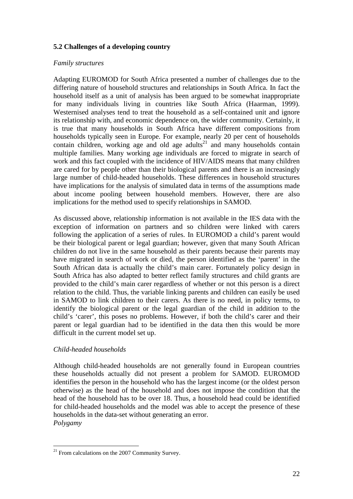# **5.2 Challenges of a developing country**

# *Family structures*

Adapting EUROMOD for South Africa presented a number of challenges due to the differing nature of household structures and relationships in South Africa. In fact the household itself as a unit of analysis has been argued to be somewhat inappropriate for many individuals living in countries like South Africa (Haarman, 1999). Westernised analyses tend to treat the household as a self-contained unit and ignore its relationship with, and economic dependence on, the wider community. Certainly, it is true that many households in South Africa have different compositions from households typically seen in Europe. For example, nearly 20 per cent of households contain children, working age and old age adults<sup>21</sup> and many households contain multiple families. Many working age individuals are forced to migrate in search of work and this fact coupled with the incidence of HIV/AIDS means that many children are cared for by people other than their biological parents and there is an increasingly large number of child-headed households. These differences in household structures have implications for the analysis of simulated data in terms of the assumptions made about income pooling between household members. However, there are also implications for the method used to specify relationships in SAMOD.

As discussed above, relationship information is not available in the IES data with the exception of information on partners and so children were linked with carers following the application of a series of rules. In EUROMOD a child's parent would be their biological parent or legal guardian; however, given that many South African children do not live in the same household as their parents because their parents may have migrated in search of work or died, the person identified as the 'parent' in the South African data is actually the child's main carer. Fortunately policy design in South Africa has also adapted to better reflect family structures and child grants are provided to the child's main carer regardless of whether or not this person is a direct relation to the child. Thus, the variable linking parents and children can easily be used in SAMOD to link children to their carers. As there is no need, in policy terms, to identify the biological parent or the legal guardian of the child in addition to the child's 'carer', this poses no problems. However, if both the child's carer and their parent or legal guardian had to be identified in the data then this would be more difficult in the current model set up.

# *Child-headed households*

Although child-headed households are not generally found in European countries these households actually did not present a problem for SAMOD. EUROMOD identifies the person in the household who has the largest income (or the oldest person otherwise) as the head of the household and does not impose the condition that the head of the household has to be over 18. Thus, a household head could be identified for child-headed households and the model was able to accept the presence of these households in the data-set without generating an error. *Polygamy* 

 $\overline{a}$  $21$  From calculations on the 2007 Community Survey.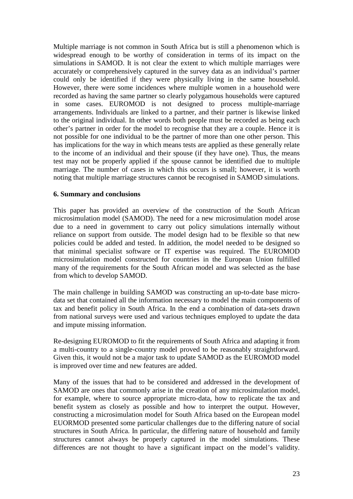Multiple marriage is not common in South Africa but is still a phenomenon which is widespread enough to be worthy of consideration in terms of its impact on the simulations in SAMOD. It is not clear the extent to which multiple marriages were accurately or comprehensively captured in the survey data as an individual's partner could only be identified if they were physically living in the same household. However, there were some incidences where multiple women in a household were recorded as having the same partner so clearly polygamous households were captured in some cases. EUROMOD is not designed to process multiple-marriage arrangements. Individuals are linked to a partner, and their partner is likewise linked to the original individual. In other words both people must be recorded as being each other's partner in order for the model to recognise that they are a couple. Hence it is not possible for one individual to be the partner of more than one other person. This has implications for the way in which means tests are applied as these generally relate to the income of an individual and their spouse (if they have one). Thus, the means test may not be properly applied if the spouse cannot be identified due to multiple marriage. The number of cases in which this occurs is small; however, it is worth noting that multiple marriage structures cannot be recognised in SAMOD simulations.

#### **6. Summary and conclusions**

This paper has provided an overview of the construction of the South African microsimulation model (SAMOD). The need for a new microsimulation model arose due to a need in government to carry out policy simulations internally without reliance on support from outside. The model design had to be flexible so that new policies could be added and tested. In addition, the model needed to be designed so that minimal specialist software or IT expertise was required. The EUROMOD microsimulation model constructed for countries in the European Union fulfilled many of the requirements for the South African model and was selected as the base from which to develop SAMOD.

The main challenge in building SAMOD was constructing an up-to-date base microdata set that contained all the information necessary to model the main components of tax and benefit policy in South Africa. In the end a combination of data-sets drawn from national surveys were used and various techniques employed to update the data and impute missing information.

Re-designing EUROMOD to fit the requirements of South Africa and adapting it from a multi-country to a single-country model proved to be reasonably straightforward. Given this, it would not be a major task to update SAMOD as the EUROMOD model is improved over time and new features are added.

Many of the issues that had to be considered and addressed in the development of SAMOD are ones that commonly arise in the creation of any microsimulation model, for example, where to source appropriate micro-data, how to replicate the tax and benefit system as closely as possible and how to interpret the output. However, constructing a microsimulation model for South Africa based on the European model EUORMOD presented some particular challenges due to the differing nature of social structures in South Africa. In particular, the differing nature of household and family structures cannot always be properly captured in the model simulations. These differences are not thought to have a significant impact on the model's validity.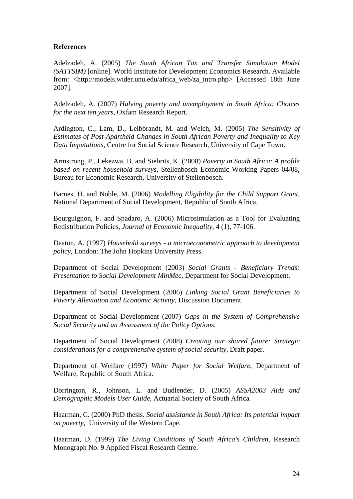# **References**

Adelzadeh, A. (2005) *The South African Tax and Transfer Simulation Model (SATTSIM)* [online]. World Institute for Development Economics Research. Available from: <http://models.wider.unu.edu/africa\_web/za\_intro.php> [Accessed 18th June 2007].

Adelzadeh, A. (2007) *Halving poverty and unemployment in South Africa: Choices for the next ten years*, Oxfam Research Report.

Ardington, C., Lam, D., Leibbrandt, M. and Welch, M. (2005) *The Sensitivity of Estimates of Post-Apartheid Changes in South African Poverty and Inequality to Key Data Imputations*, Centre for Social Science Research, University of Cape Town.

Armstrong, P., Lekezwa, B. and Siebrits, K. (2008) *Poverty in South Africa: A profile based on recent household surveys*, Stellenbosch Economic Working Papers 04/08, Bureau for Economic Research, University of Stellenbosch.

Barnes, H. and Noble, M. (2006) *Modelling Eligibility for the Child Support Grant*, National Department of Social Development, Republic of South Africa.

Bourguignon, F. and Spadaro, A. (2006) Microsimulation as a Tool for Evaluating Redistribution Policies, *Journal of Economic Inequality,* 4 (1), 77-106.

Deaton, A. (1997) *Household surveys - a microeconometric approach to development policy*, London: The John Hopkins University Press.

Department of Social Development (2003) *Social Grants - Beneficiary Trends: Presentation to Social Development MinMec*, Department for Social Development.

Department of Social Development (2006) *Linking Social Grant Beneficiaries to Poverty Alleviation and Economic Activity*, Discussion Document.

Department of Social Development (2007) *Gaps in the System of Comprehensive Social Security and an Assessment of the Policy Options*.

Department of Social Development (2008) *Creating our shared future: Strategic considerations for a comprehensive system of social security*, Draft paper.

Department of Welfare (1997) *White Paper for Social Welfare*, Department of Welfare, Republic of South Africa.

Dorrington, R., Johnson, L. and Budlender, D. (2005) *ASSA2003 Aids and Demographic Models User Guide*, Actuarial Society of South Africa.

Haarman, C. (2000) PhD thesis. *Social assistance in South Africa: Its potential impact on poverty*, University of the Western Cape.

Haarman, D. (1999) *The Living Conditions of South Africa's Children*, Research Monograph No. 9 Applied Fiscal Research Centre.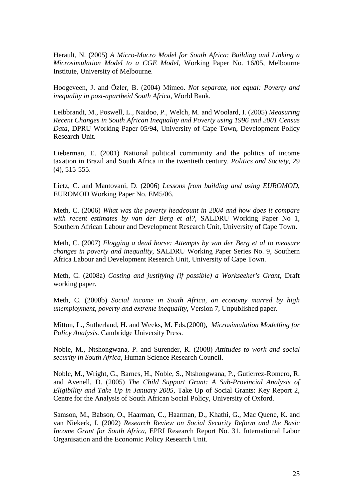Herault, N. (2005) *A Micro-Macro Model for South Africa: Building and Linking a Microsimulation Model to a CGE Model*, Working Paper No. 16/05, Melbourne Institute, University of Melbourne.

Hoogeveen, J. and Özler, B. (2004) Mimeo. *Not separate, not equal: Poverty and inequality in post-apartheid South Africa*, World Bank.

Leibbrandt, M., Poswell, L., Naidoo, P., Welch, M. and Woolard, I. (2005) *Measuring Recent Changes in South African Inequality and Poverty using 1996 and 2001 Census Data*, DPRU Working Paper 05/94, University of Cape Town, Development Policy Research Unit.

Lieberman, E. (2001) National political community and the politics of income taxation in Brazil and South Africa in the twentieth century. *Politics and Society,* 29 (4), 515-555.

Lietz, C. and Mantovani, D. (2006) *Lessons from building and using EUROMOD*, EUROMOD Working Paper No. EM5/06.

Meth, C. (2006) *What was the poverty headcount in 2004 and how does it compare with recent estimates by van der Berg et al?*, SALDRU Working Paper No 1, Southern African Labour and Development Research Unit, University of Cape Town.

Meth, C. (2007) *Flogging a dead horse: Attempts by van der Berg et al to measure changes in poverty and inequality*, SALDRU Working Paper Series No. 9, Southern Africa Labour and Development Research Unit, University of Cape Town.

Meth, C. (2008a) *Costing and justifying (if possible) a Workseeker's Grant*, Draft working paper.

Meth, C. (2008b) *Social income in South Africa, an economy marred by high unemployment, poverty and extreme inequality*, Version 7, Unpublished paper.

Mitton, L., Sutherland, H. and Weeks, M. Eds.(2000), *Microsimulation Modelling for Policy Analysis.* Cambridge University Press.

Noble, M., Ntshongwana, P. and Surender, R. (2008) *Attitudes to work and social security in South Africa*, Human Science Research Council.

Noble, M., Wright, G., Barnes, H., Noble, S., Ntshongwana, P., Gutierrez-Romero, R. and Avenell, D. (2005) *The Child Support Grant: A Sub-Provincial Analysis of Eligibility and Take Up in January 2005*, Take Up of Social Grants: Key Report 2, Centre for the Analysis of South African Social Policy, University of Oxford.

Samson, M., Babson, O., Haarman, C., Haarman, D., Khathi, G., Mac Quene, K. and van Niekerk, I. (2002) *Research Review on Social Security Reform and the Basic Income Grant for South Africa*, EPRI Research Report No. 31, International Labor Organisation and the Economic Policy Research Unit.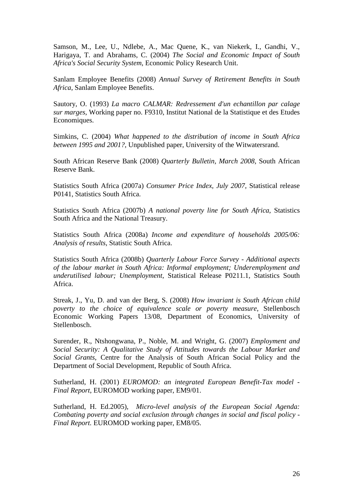Samson, M., Lee, U., Ndlebe, A., Mac Quene, K., van Niekerk, I., Gandhi, V., Harigaya, T. and Abrahams, C. (2004) *The Social and Economic Impact of South Africa's Social Security System*, Economic Policy Research Unit.

Sanlam Employee Benefits (2008) *Annual Survey of Retirement Benefits in South Africa*, Sanlam Employee Benefits.

Sautory, O. (1993) *La macro CALMAR: Redressement d'un echantillon par calage sur marges*, Working paper no. F9310, Institut National de la Statistique et des Etudes Economiques.

Simkins, C. (2004) *What happened to the distribution of income in South Africa between 1995 and 2001?*, Unpublished paper, University of the Witwatersrand.

South African Reserve Bank (2008) *Quarterly Bulletin, March 2008*, South African Reserve Bank.

Statistics South Africa (2007a) *Consumer Price Index, July 2007*, Statistical release P0141, Statistics South Africa.

Statistics South Africa (2007b) *A national poverty line for South Africa*, Statistics South Africa and the National Treasury.

Statistics South Africa (2008a) *Income and expenditure of households 2005/06: Analysis of results*, Statistic South Africa.

Statistics South Africa (2008b) *Quarterly Labour Force Survey - Additional aspects of the labour market in South Africa: Informal employment; Underemployment and underutilised labour; Unemployment*, Statistical Release P0211.1, Statistics South Africa.

Streak, J., Yu, D. and van der Berg, S. (2008) *How invariant is South African child poverty to the choice of equivalence scale or poverty measure*, Stellenbosch Economic Working Papers 13/08, Department of Economics, University of Stellenbosch.

Surender, R., Ntshongwana, P., Noble, M. and Wright, G. (2007) *Employment and Social Security: A Qualitative Study of Attitudes towards the Labour Market and Social Grants*, Centre for the Analysis of South African Social Policy and the Department of Social Development, Republic of South Africa.

Sutherland, H. (2001) *EUROMOD: an integrated European Benefit-Tax model - Final Report*, EUROMOD working paper, EM9/01.

Sutherland, H. Ed.2005), *Micro-level analysis of the European Social Agenda: Combating poverty and social exclusion through changes in social and fiscal policy - Final Report.* EUROMOD working paper, EM8/05.